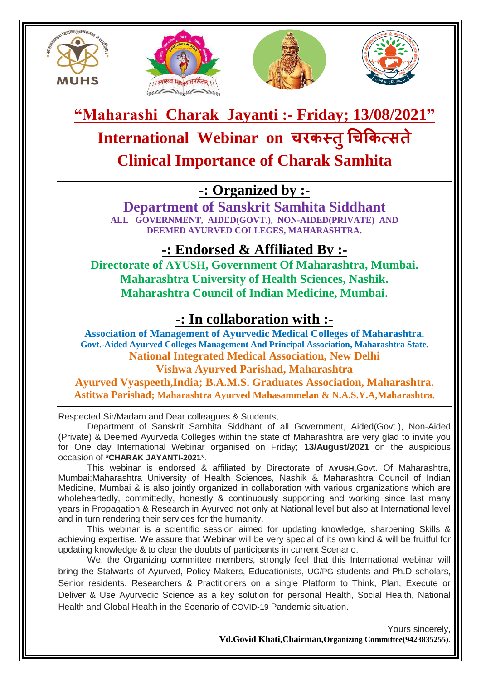







**"Maharashi Charak Jayanti :- Friday; 13/08/2021"**

**International Webinar on चरकस्तुचचककत्सते**

**Clinical Importance of Charak Samhita**

**-: Organized by :-**

**Department of Sanskrit Samhita Siddhant ALL GOVERNMENT, AIDED(GOVT.), NON-AIDED(PRIVATE) AND DEEMED AYURVED COLLEGES, MAHARASHTRA.**

**-: Endorsed & Affiliated By :-**

**Directorate of AYUSH, Government Of Maharashtra, Mumbai. Maharashtra University of Health Sciences, Nashik. Maharashtra Council of Indian Medicine, Mumbai.**

# **-: In collaboration with :-**

**Association of Management of Ayurvedic Medical Colleges of Maharashtra. Govt.-Aided Ayurved Colleges Management And Principal Association, Maharashtra State. National Integrated Medical Association, New Delhi Vishwa Ayurved Parishad, Maharashtra** 

**Ayurved Vyaspeeth,India; B.A.M.S. Graduates Association, Maharashtra. Astitwa Parishad; Maharashtra Ayurved Mahasammelan & N.A.S.Y.A,Maharashtra.**

Respected Sir/Madam and Dear colleagues & Students,

Department of Sanskrit Samhita Siddhant of all Government, Aided(Govt.), Non-Aided (Private) & Deemed Ayurveda Colleges within the state of Maharashtra are very glad to invite you for One day International Webinar organised on Friday; **13/August/2021** on the auspicious occasion of **\*CHARAK JAYANTI-2021**\*.

This webinar is endorsed & affiliated by Directorate of **AYUSH**,Govt. Of Maharashtra, Mumbai;Maharashtra University of Health Sciences, Nashik & Maharashtra Council of Indian Medicine, Mumbai & is also jointly organized in collaboration with various organizations which are wholeheartedly, committedly, honestly & continuously supporting and working since last many years in Propagation & Research in Ayurved not only at National level but also at International level and in turn rendering their services for the humanity.

This webinar is a scientific session aimed for updating knowledge, sharpening Skills & achieving expertise. We assure that Webinar will be very special of its own kind & will be fruitful for updating knowledge & to clear the doubts of participants in current Scenario.

We, the Organizing committee members, strongly feel that this International webinar will bring the Stalwarts of Ayurved, Policy Makers, Educationists, UG/PG students and Ph.D scholars, Senior residents, Researchers & Practitioners on a single Platform to Think, Plan, Execute or Deliver & Use Ayurvedic Science as a key solution for personal Health, Social Health, National Health and Global Health in the Scenario of COVID-19 Pandemic situation.

> Yours sincerely, **Vd.Govid Khati,Chairman,Organizing Committee(9423835255)**.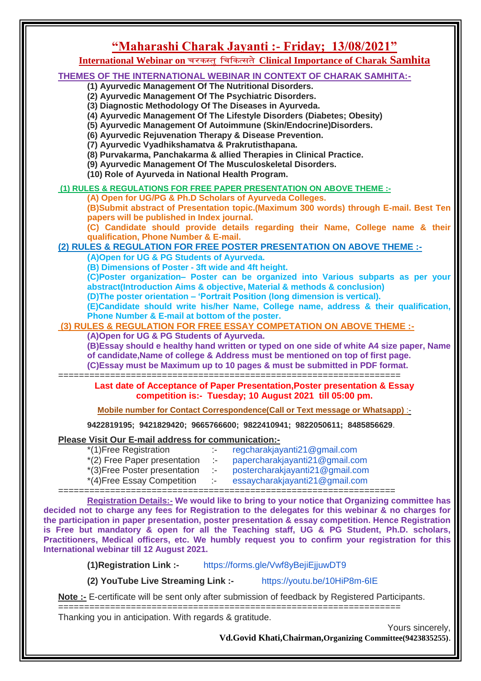#### **"Maharashi Charak Jayanti :- Friday; 13/08/2021"** International Webinar on चरकस्तु चिकित्सते Clinical Importance of Charak Samhita **THEMES OF THE INTERNATIONAL WEBINAR IN CONTEXT OF CHARAK SAMHITA:- (1) Ayurvedic Management Of The Nutritional Disorders. (2) Ayurvedic Management Of The Psychiatric Disorders. (3) Diagnostic Methodology Of The Diseases in Ayurveda. (4) Ayurvedic Management Of The Lifestyle Disorders (Diabetes; Obesity) (5) Ayurvedic Management Of Autoimmune (Skin/Endocrine)Disorders. (6) Ayurvedic Rejuvenation Therapy & Disease Prevention. (7) Ayurvedic Vyadhikshamatva & Prakrutisthapana. (8) Purvakarma, Panchakarma & allied Therapies in Clinical Practice. (9) Ayurvedic Management Of The Musculoskeletal Disorders. (10) Role of Ayurveda in National Health Program. (1) RULES & REGULATIONS FOR FREE PAPER PRESENTATION ON ABOVE THEME :- (A) Open for UG/PG & Ph.D Scholars of Ayurveda Colleges. (B)Submit abstract of Presentation topic.(Maximum 300 words) through E-mail. Best Ten papers will be published in Index journal. (C) Candidate should provide details regarding their Name, College name & their qualification, Phone Number & E-mail. (2) RULES & REGULATION FOR FREE POSTER PRESENTATION ON ABOVE THEME :- (A)Open for UG & PG Students of Ayurveda. (B) Dimensions of Poster - 3ft wide and 4ft height. (C)Poster organization– Poster can be organized into Various subparts as per your abstract(Introduction Aims & objective, Material & methods & conclusion) (D)The poster orientation – 'Portrait Position (long dimension is vertical). (E)Candidate should write his/her Name, College name, address & their qualification, Phone Number & E-mail at bottom of the poster. (3) RULES & REGULATION FOR FREE ESSAY COMPETATION ON ABOVE THEME :- (A)Open for UG & PG Students of Ayurveda. (B)Essay should e healthy hand written or typed on one side of white A4 size paper, Name of candidate,Name of college & Address must be mentioned on top of first page. (C)Essay must be Maximum up to 10 pages & must be submitted in PDF format.** ================================================================== **Last date of Acceptance of Paper Presentation,Poster presentation & Essay competition is:- Tuesday; 10 August 2021 till 05:00 pm. Mobile number for Contact Correspondence(Call or Text message or Whatsapp)** :- **9422819195; 9421829420; 9665766600; 9822410941; 9822050611; 8485856629**. **Please Visit Our E-mail address for communication:-** \*(1)Free Registration :- [regcharakjayanti21@gmail.com](mailto:regcharakjayanti21@gmail.com) \*(2) Free Paper presentation :- [papercharakjayanti21@gmail.com](mailto:papercharakjayanti21@gmail.com) \*(3)Free Poster presentation :- [postercharakjayanti21@gmail.com](mailto:postercharakjayanti21@gmail.com) \*(4)Free Essay Competition :- [essaycharakjayanti21@gmail.com](mailto:essaycharakjayanti21@gmail.com) ================================================================= **Registration Details:- We would like to bring to your notice that Organizing committee has decided not to charge any fees for Registration to the delegates for this webinar & no charges for**

**the participation in paper presentation, poster presentation & essay competition. Hence Registration is Free but mandatory & open for all the Teaching staff, UG & PG Student, Ph.D. scholars, Practitioners, Medical officers, etc. We humbly request you to confirm your registration for this International webinar till 12 August 2021.**

**(1)Registration Link :-** <https://forms.gle/Vwf8yBejiEjjuwDT9>

**(2) YouTube Live Streaming Link :-** <https://youtu.be/10HiP8m-6IE>

**Note :-** E-certificate will be sent only after submission of feedback by Registered Participants.

================================================================== Thanking you in anticipation. With regards & gratitude.

Yours sincerely,

**Vd.Govid Khati,Chairman,Organizing Committee(9423835255)**.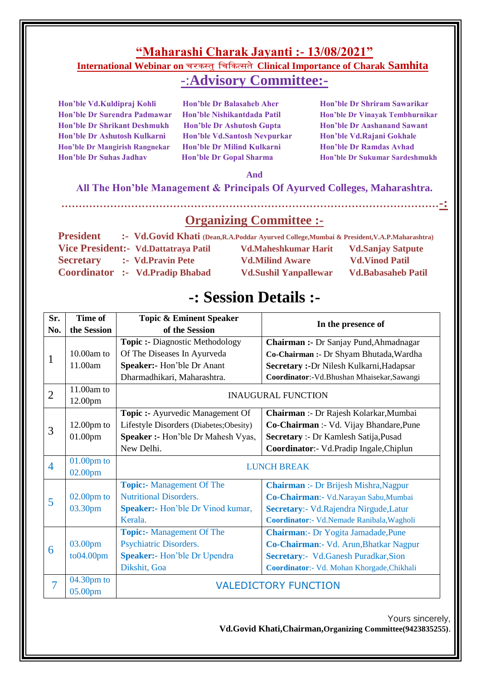### **"Maharashi Charak Jayanti :- 13/08/2021"** International Webinar on चरकस्त् चिकित्सते Clinical Importance of Charak Samhita -:**Advisory Committee:-**

**Hon'ble Dr Shrikant Deshmukh Hon'ble Dr Ashutosh Gupta Hon'ble Dr Aashanand Sawant Hon'ble Dr Ashutosh Kulkarni Hon'ble Vd.Santosh Nevpurkar Hon'ble Vd.Rajani Gokhale Hon'ble Dr Mangirish Rangnekar Hon'ble Dr Milind Kulkarni Hon'ble Dr Ramdas Avhad** 

**Hon'ble Vd.Kuldipraj Kohli Hon'ble Dr Balasaheb Aher Hon'ble Dr Shriram Sawarikar** 

**Hon'ble Dr Surendra Padmawar Hon'ble Nishikantdada Patil Hon'ble Dr Vinayak Tembhurnikar Hon'ble Dr Suhas Jadhav Hon'ble Dr Gopal Sharma Hon'ble Dr Sukumar Sardeshmukh**

#### **And**

#### **All The Hon'ble Management & Principals Of Ayurved Colleges, Maharashtra.**

**………………………………………………………………………………………………-:** 

**Organizing Committee :-**

| <b>President</b> |                                        | :- Vd.Govid Khati (Dean, R.A.Poddar Ayurved College, Mumbai & President, V.A.P. Maharashtra) |                           |
|------------------|----------------------------------------|----------------------------------------------------------------------------------------------|---------------------------|
|                  | Vice President: Vd.Dattatraya Patil    | <b>Vd.Maheshkumar Harit</b>                                                                  | <b>Vd.Sanjay Satpute</b>  |
| <b>Secretary</b> | :- Vd.Pravin Pete                      | <b>Vd.Milind Aware</b>                                                                       | <b>Vd.Vinod Patil</b>     |
|                  | <b>Coordinator :- Vd.Pradip Bhabad</b> | <b>Vd.Sushil Yanpallewar</b>                                                                 | <b>Vd.Babasaheb Patil</b> |

# **-: Session Details :-**

| Sr.            | Time of<br><b>Topic &amp; Eminent Speaker</b> |                                         |                                              |  |  |
|----------------|-----------------------------------------------|-----------------------------------------|----------------------------------------------|--|--|
| No.            | the Session                                   | of the Session                          | In the presence of                           |  |  |
| 1              |                                               | <b>Topic :- Diagnostic Methodology</b>  | Chairman :- Dr Sanjay Pund, Ahmadnagar       |  |  |
|                | 10.00am to                                    | Of The Diseases In Ayurveda             | Co-Chairman :- Dr Shyam Bhutada, Wardha      |  |  |
|                | 11.00am                                       | Speaker:- Hon'ble Dr Anant              | Secretary :- Dr Nilesh Kulkarni, Hadapsar    |  |  |
|                |                                               | Dharmadhikari, Maharashtra.             | Coordinator:-Vd.Bhushan Mhaisekar,Sawangi    |  |  |
| $\overline{2}$ | 11.00am to                                    | <b>INAUGURAL FUNCTION</b>               |                                              |  |  |
| 12.00pm        |                                               |                                         |                                              |  |  |
| 3              |                                               | Topic :- Ayurvedic Management Of        | Chairman :- Dr Rajesh Kolarkar, Mumbai       |  |  |
|                | $12.00pm$ to                                  | Lifestyle Disorders (Diabetes; Obesity) | Co-Chairman :- Vd. Vijay Bhandare, Pune      |  |  |
|                | 01.00pm                                       | Speaker :- Hon'ble Dr Mahesh Vyas,      | Secretary :- Dr Kamlesh Satija, Pusad        |  |  |
|                |                                               | New Delhi.                              | Coordinator: - Vd.Pradip Ingale, Chiplun     |  |  |
| $\overline{4}$ | $01.00$ pm to                                 | <b>LUNCH BREAK</b>                      |                                              |  |  |
|                | 02.00pm                                       |                                         |                                              |  |  |
|                |                                               | <b>Topic:-</b> Management Of The        | <b>Chairman</b> :- Dr Brijesh Mishra, Nagpur |  |  |
| 5              | $02.00$ pm to                                 | <b>Nutritional Disorders.</b>           | Co-Chairman: - Vd.Narayan Sabu,Mumbai        |  |  |
|                | 03.30pm                                       | <b>Speaker:</b> Hon'ble Dr Vinod kumar, | Secretary:- Vd.Rajendra Nirgude,Latur        |  |  |
|                |                                               | Kerala.                                 | Coordinator:- Vd.Nemade Ranibala, Wagholi    |  |  |
|                |                                               | <b>Topic:-</b> Management Of The        | <b>Chairman:</b> - Dr Yogita Jamadade, Pune  |  |  |
| 6              | 03.00pm                                       | Psychiatric Disorders.                  | Co-Chairman: - Vd. Arun, Bhatkar Nagpur      |  |  |
|                | to04.00pm                                     | <b>Speaker:</b> - Hon'ble Dr Upendra    | Secretary:- Vd.Ganesh Puradkar, Sion         |  |  |
|                |                                               | Dikshit, Goa                            | Coordinator:- Vd. Mohan Khorgade, Chikhali   |  |  |
| $\overline{7}$ | 04.30pm to                                    | <b>VALEDICTORY FUNCTION</b>             |                                              |  |  |
|                | 05.00pm                                       |                                         |                                              |  |  |